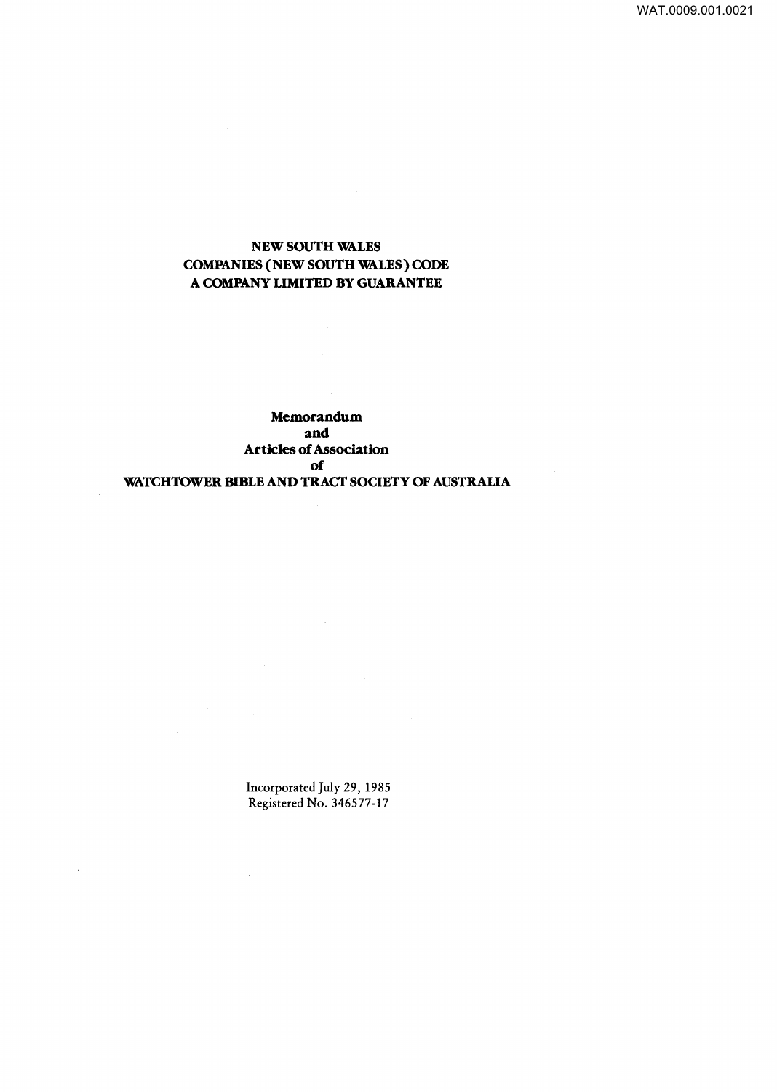WAT.0009.001.0021

# NEW SOUTH WALES COMPANIES {NEW SOUTH WALES) CODE A COMPANY LIMITED BY GUARANTEE

 $\bar{z}$ 

 $\frac{1}{2} \frac{1}{2} \frac{1}{2}$ 

Memorandum and Articles of Association of WATCHTOWER BIBLE AND TRACT SOCIETY OF AUSTRALIA

> Incorporated July 29, 1985 Registered No. 346577-17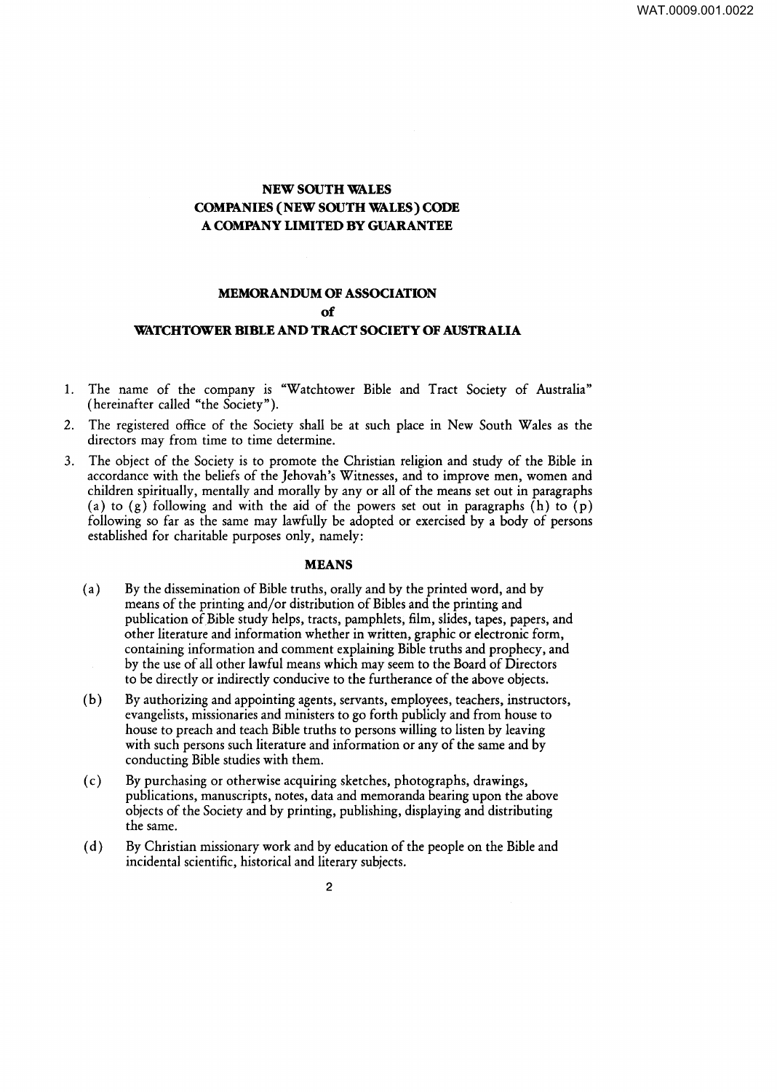# **NEW SOUTH WALES COMPANIES (NEW SOUTH WALES) CODE A COMPANY LIMITED BY GUARANTEE**

# **MEMORANDUM OF ASSOCIATION of WATCHTOWER BIBLE AND TRACT SOCIETY OF AUSTRALIA**

- 1. The name of the company is "Watchtower Bible and Tract Society of Australia" (hereinafter called "the Society").
- 2. The registered office of the Society shall be at such place in New South Wales as the directors may from time to time determine.
- 3. The object of the Society is to promote the Christian religion and study of the Bible in accordance with the beliefs of the Jehovah's Witnesses, and to improve men, women and children spiritually, mentally and morally by any or all of the means set out in paragraphs (a) to (g) following and with the aid of the powers set out in paragraphs  $(h)$  to  $(p)$ following so far as the same may lawfully be adopted or exercised by a body of persons established for charitable purposes only, namely:

### **MEANS**

- (a) By the dissemination of Bible truths, orally and by the printed word, and by means of the printing and/or distribution of Bibles and the printing and publication of Bible study helps, tracts, pamphlets, film, slides, tapes, papers, and other literature and information whether in written, graphic or electronic form, containing information and comment explaining Bible truths and prophecy, and by the use of all other lawful means which may seem to the Board of Directors to be directly or indirectly conducive to the furtherance of the above objects.
- (b) By authorizing and appointing agents, servants, employees, teachers, instructors, evangelists, missionaries and ministers to go forth publicly and from house to house to preach and teach Bible truths to persons willing to listen by leaving with such persons such literature and information or any of the same and by conducting Bible studies with them.
- ( c) By purchasing or otherwise acquiring sketches, photographs, drawings, publications, manuscripts, notes, data and memoranda bearing upon the above objects of the Society and by printing, publishing, displaying and distributing the same.
- ( d) By Christian missionary work and by education of the people on the Bible and incidental scientific, historical and literary subjects.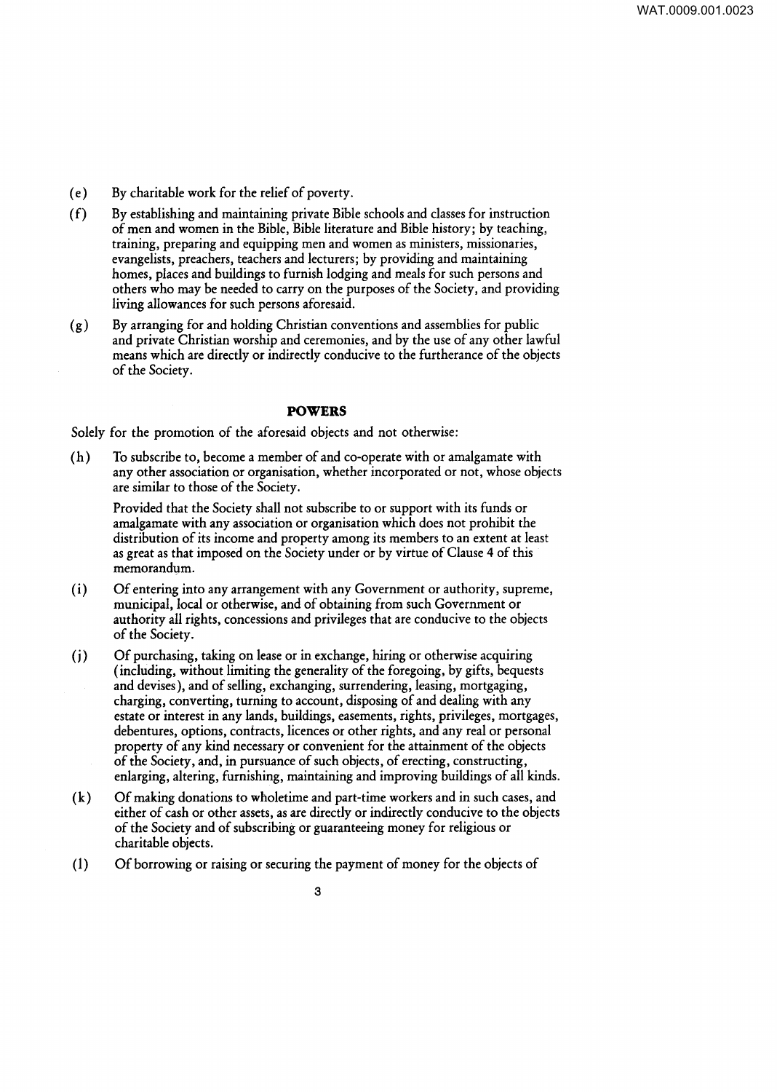- ( e) By charitable work for the relief of poverty.
- ( f) By establishing and maintaining private Bible schools and classes for instruction of men and women in the Bible, Bible literature and Bible history; by teaching, training, preparing and equipping men and women as ministers, missionaries, evangelists, preachers, teachers and lecturers; by providing and maintaining homes, places and buildings to furnish lodging and meals for such persons and others who may be needed to carry on the purposes of the Society, and providing living allowances for such persons aforesaid.
- ( g) By arranging for and holding Christian conventions and assemblies for public and private Christian worship and ceremonies, and by the use of any other lawful means which are directly or indirectly conducive to the furtherance of the objects of the Society.

# **POWERS**

Solely for the promotion of the aforesaid objects and not otherwise:

(h) To subscribe to, become a member of and co-operate with or amalgamate with any other association or organisation, whether incorporated or not, whose objects are similar to those of the Society.

Provided that the Society shall not subscribe to or support with its funds or amalgamate with any association or organisation which does not prohibit the distribution of its income and property among its members to an extent at least as great as that imposed on the Society under or by virtue of Clause 4 of this memorandum.

- (i) Of entering into any arrangement with any Government or authority, supreme, municipal, local or otherwise, and of obtaining from such Government or authority all rights, concessions and privileges that are conducive to the objects of the Society.
- (i) Of purchasing, taking on lease or in exchange, hiring or otherwise acquiring (including, without limiting the generality of the foregoing, by gifts, bequests and devises), and of selling, exchanging, surrendering, leasing, mortgaging, charging, converting, turning to account, disposing of and dealing with any estate or interest in any lands, buildings, easements, rights, privileges, mortgages, debentures, options, contracts, licences or other rights, and any real or personal property of any kind necessary or convenient for the attainment of the objects of the Society, and, in pursuance of such objects, of erecting, constructing, enlarging, altering, furnishing, maintaining and improving buildings of all kinds.
- ( k) Of making donations to wholetime and part-time workers and in such cases, and either of cash or other assets, as are directly or indirectly conducive to the objects of the Society and of subscribing or guaranteeing money for religious or charitable objects.
- ( 1) Of borrowing or raising or securing the payment of money for the objects of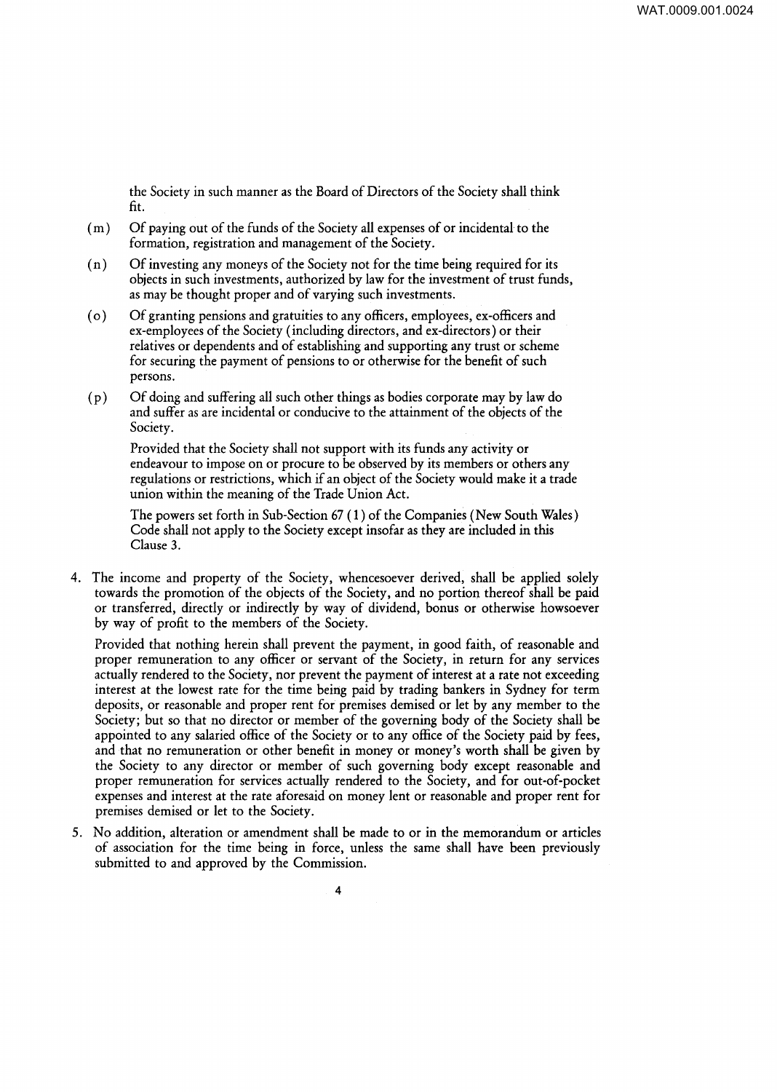the Society in such manner as the Board of Directors of the Society shall think fit.

- ( m) Of paying out of the funds of the Society all expenses of or incidental to the formation, registration and management of the Society.
- ( n) Of investing any moneys of the Society not for the time being required for its objects in such investments, authorized by law for the investment of trust funds, as may be thought proper and of varying such investments.
- ( o) Of granting pensions and gratuities to any officers, employees, ex-officers and ex-employees of the Society (including directors, and ex-directors) or their relatives or dependents and of establishing and supporting any trust or scheme for securing the payment of pensions to or otherwise for the benefit of such persons.
- ( p) Of doing and suffering all such other things as bodies corporate may by law do and suffer as are incidental or conducive to the attainment of the objects of the Society.

Provided that the Society shall not support with its funds any activity or endeavour to impose on or procure to be observed by its members or others any regulations or restrictions, which if an object of the Society would make it a trade union within the meaning of the Trade Union Act.

The powers set forth in Sub-Section 67 ( 1) of the Companies (New South Wales) Code shall not apply to the Society except insofar as they are included in this Clause 3.

4. The income and property of the Society, whencesoever derived, shall be applied solely towards the promotion of the objects of the Society, and no portion thereof shall be paid or transferred, directly or indirectly by way of dividend, bonus or otherwise howsoever by way of profit to the members of the Society.

Provided that nothing herein shall prevent the payment, in good faith, of reasonable and proper remuneration to any officer or servant of the Society, in return for any services actually rendered to the Society, nor prevent the payment of interest at a rate not exceeding interest at the lowest rate for the time being paid by trading bankers in Sydney for term deposits, or reasonable and proper rent for premises demised or let by any member to the Society; but so that no director or member of the governing body of the Society shall be appointed to any salaried office of the Society or to any office of the Society paid by fees, and that no remuneration or other benefit in money or money's worth shall be given by the Society to any director or member of such governing body except reasonable and proper remuneration for services actually rendered to the Society, and for out-of-pocket expenses and interest at the rate aforesaid on money lent or reasonable and proper rent for premises demised or let to the Society.

5. No addition, alteration or amendment shall be made to or in the memorandum or articles of association for the time being in force, unless the same shall have been previously submitted to and approved by the Commission.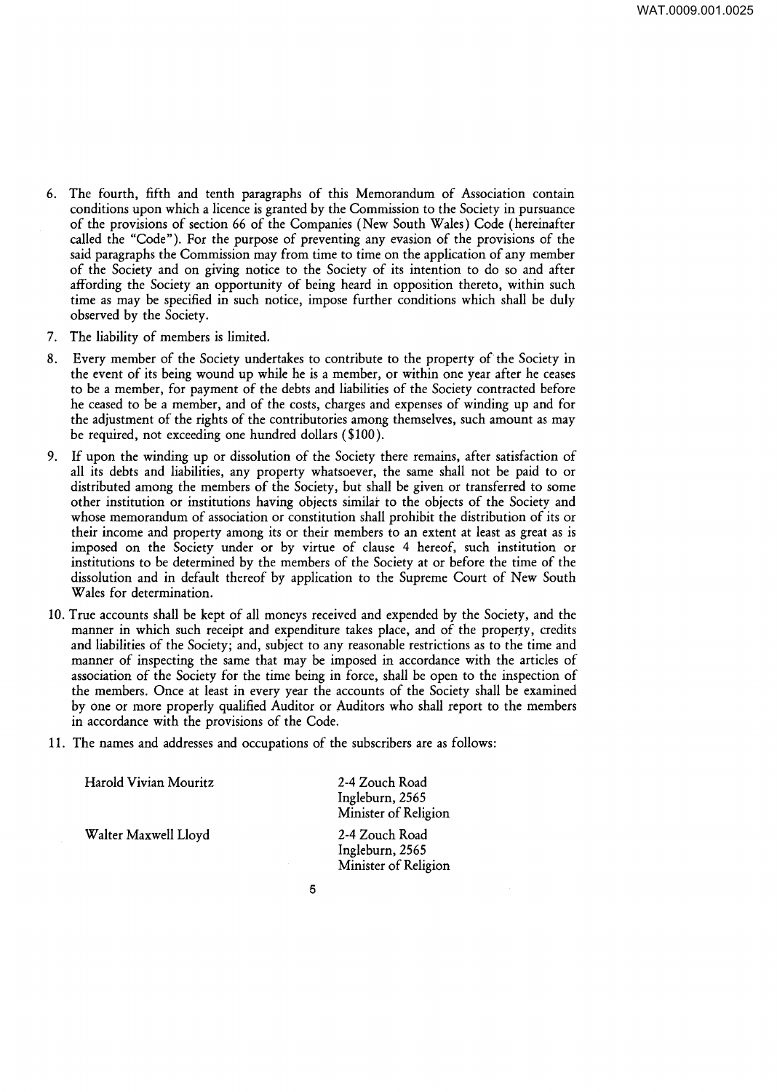- 6. The fourth, fifth and tenth paragraphs of this Memorandum of Association contain conditions upon which a licence is granted by the Commission to the Society in pursuance of the provisions of section 66 of the Companies (New South Wales) Code (hereinafter called the "Code"). For the purpose of preventing any evasion of the provisions of the said paragraphs the Commission may from time to time on the application of any member of the Society and on giving notice to the Society of its intention to do so and after affording the Society an opportunity of being heard in opposition thereto, within such time as may be specified in such notice, impose further conditions which shall be duly observed by the Society.
- 7. The liability of members is limited.
- 8. Every member of the Society undertakes to contribute to the property of the Society in the event of its being wound up while he is a member, or within one year after he ceases to be a member, for payment of the debts and liabilities of the Society contracted before he ceased to be a member, and of the costs, charges and expenses of winding up and for the adjustment of the rights of the contributories among themselves, such amount as may be required, not exceeding one hundred dollars ( \$100 ).
- 9. If upon the winding up or dissolution of the Society there remains, after satisfaction of all its debts and liabilities, any property whatsoever, the same shall not be paid to or distributed among the members of the Society, but shall be given or transferred to some other institution or institutions having objects similar to the objects of the Society and whose memorandum of association or constitution shall prohibit the distribution of its or their income and property among its or their members to an extent at least as great as is imposed on the Society under or by virtue of clause 4 hereof, such institution or institutions to be determined by the members of the Society at or before the time of the dissolution and in default thereof by application to the Supreme Court of New South Wales for determination.
- 10. True accounts shall be kept of all moneys received and expended by the Society, and the manner in which such receipt and expenditure takes place, and of the property, credits and liabilities of the Society; and, subject to any reasonable restrictions as to the time and manner of inspecting the same that may be imposed in accordance with the articles of association of the Society for the time being in force, shall be open to the inspection of the members. Once at least in every year the accounts of the Society shall be examined by one or more properly qualified Auditor or Auditors who shall report to the members in accordance with the provisions of the Code.
- 11. The names and addresses and occupations of the subscribers are as follows:

| Harold Vivian Mouritz | 2-4 Zouch Road<br>Ingleburn, 2565<br>Minister of Religion |
|-----------------------|-----------------------------------------------------------|
| Walter Maxwell Lloyd  | 2-4 Zouch Road<br>Ingleburn, 2565<br>Minister of Religion |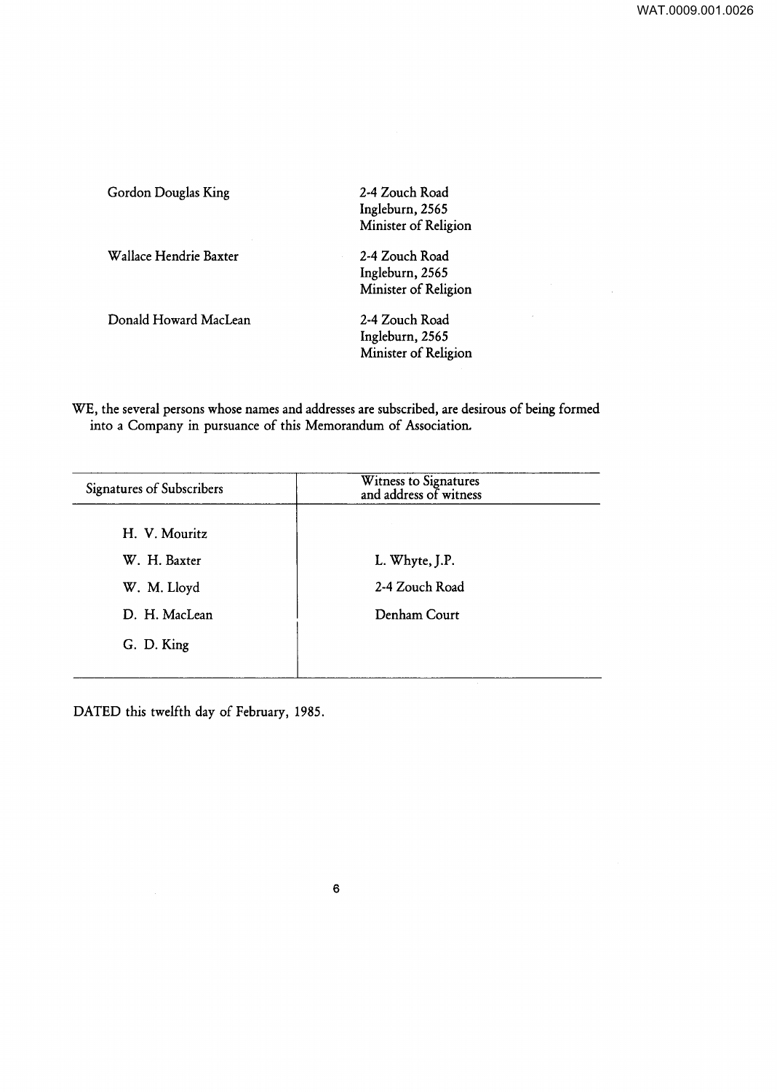| Gordon Douglas King    | 2-4 Zouch Road<br>Ingleburn, 2565<br>Minister of Religion |
|------------------------|-----------------------------------------------------------|
| Wallace Hendrie Baxter | 2-4 Zouch Road<br>Ingleburn, 2565<br>Minister of Religion |
| Donald Howard MacLean  | 2-4 Zouch Road<br>Ingleburn, 2565<br>Minister of Religion |

WE, the several persons whose names and addresses are subscribed, are desirous of being formed into a Company in pursuance of this Memorandum of Association.

| <b>Signatures of Subscribers</b> | Witness to Signatures<br>and address of witness |
|----------------------------------|-------------------------------------------------|
| H. V. Mouritz                    |                                                 |
| W. H. Baxter                     | L. Whyte, J.P.                                  |
| W. M. Lloyd                      | 2-4 Zouch Road                                  |
| D. H. MacLean                    | Denham Court                                    |
| G. D. King                       |                                                 |
|                                  |                                                 |

DATED this twelfth day of February, 1985.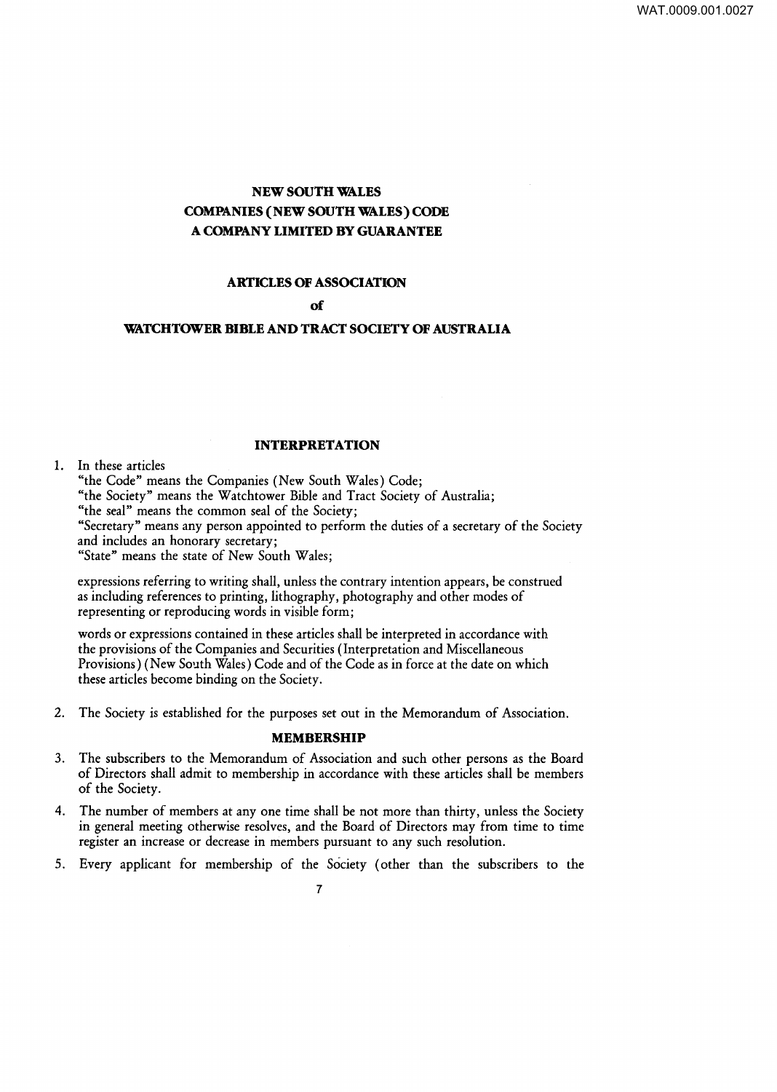# **NEW SOUTH WALES COMPANIES (NEW SOUTH WALES) CODE A COMPANY LIMITED BY GUARANTEE**

# **ARTICLES OF ASSOCIATION**

#### **of**

### **WATCHTOWER BIBLE AND TRACT SOCIETY OF AUSTRALIA**

#### **INTERPRETATION**

#### 1. In these articles

"the Code" means the Companies (New South Wales) Code; "the Society" means the Watchtower Bible and Tract Society of Australia; "the seal" means the common seal of the Society; "Secretary" means any person appointed to perform the duties of a secretary of the Society and includes an honorary secretary; "State" means the state of New South Wales;

expressions referring to writing shall, unless the contrary intention appears, be construed as including references to printing, lithography, photography and other modes of representing or reproducing words in visible form;

words or expressions contained in these articles shall be interpreted in accordance with the provisions of the Companies and Securities (Interpretation and Miscellaneous Provisions) (New South Wales) Code and of the Code as in force at the date on which these articles become binding on the Society.

2. The Society is established for the purposes set out in the Memorandum of Association.

#### **MEMBERSHIP**

- 3. The subscribers to the Memorandum of Association and such other persons as the Board of Directors shall admit to membership in accordance with these articles shall be members of the Society.
- 4. The number of members at any one time shall be not more than thirty, unless the Society in general meeting otherwise resolves, and the Board of Directors may from time to time register an increase or decrease in members pursuant to any such resolution.
- 5. Every applicant for membership of the Society (other than the subscribers to the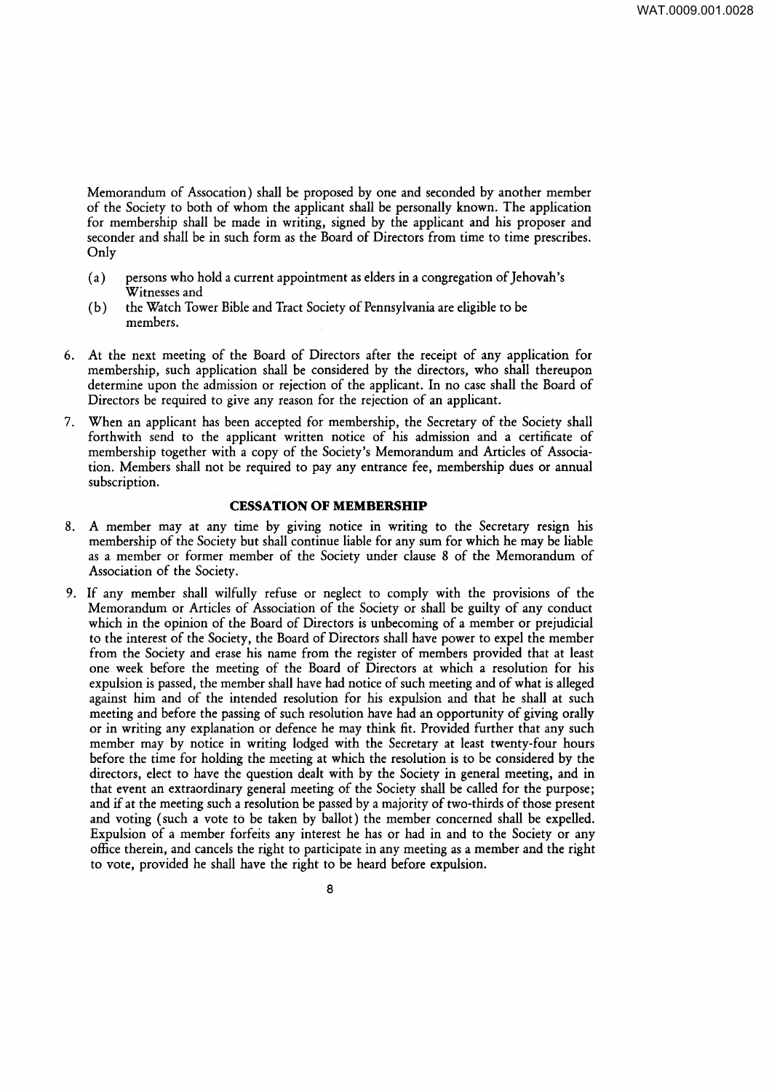Memorandum of Assocation) shall be proposed by one and seconded by another member of the Society to both of whom the applicant shall be personally known. The application for membership shall be made in writing, signed by the applicant and his proposer and seconder and shall be in such form as the Board of Directors from time to time prescribes. Only

- (a) persons who hold a current appointment as elders in a congregation of Jehovah's Witnesses and
- ( b) the Watch Tower Bible and Tract Society of Pennsylvania are eligible to be members.
- 6. At the next meeting of the Board of Directors after the receipt of any application for membership, such application shall be considered by the directors, who shall thereupon determine upon the admission or rejection of the applicant. In no case shall the Board of Directors be required to give any reason for the rejection of an applicant.
- 7. When an applicant has been accepted for membership, the Secretary of the Society shall forthwith send to the applicant written notice of his admission and a certificate of membership together with a copy of the Society's Memorandum and Articles of Association. Members shall not be required to pay any entrance fee, membership dues or annual subscription.

#### **CESSATION OF MEMBERSHIP**

- 8. A member may at any time by giving notice in writing to the Secretary resign his membership of the Society but shall continue liable for any sum for which he may be liable as a member or former member of the Society under clause 8 of the Memorandum of Association of the Society.
- 9. If any member shall wilfully refuse or neglect to comply with the provisions of the Memorandum or Articles of Association of the Society or shall be guilty of any conduct which in the opinion of the Board of Directors is unbecoming of a member or prejudicial to the interest of the Society, the Board of Directors shall have power to expel the member from the Society and erase his name from the register of members provided that at least one week before the meeting of the Board of Directors at which a resolution for his expulsion is passed, the member shall have had notice of such meeting and of what is alleged against him and of the intended resolution for his expulsion and that he shall at such meeting and before the passing of such resolution have had an opportunity of giving orally or in writing any explanation or defence he may think fit. Provided further that any such member may by notice in writing lodged with the Secretary at least twenty-four hours before the time for holding the meeting at which the resolution is to be considered by the directors, elect to have the question dealt with by the Society in general meeting, and in that event an extraordinary general meeting of the Society shall be called for the purpose; and if at the meeting such a resolution be passed by a majority of two-thirds of those present and voting (such a vote to be taken by ballot) the member concerned shall be expelled. Expulsion of a member forfeits any interest he has or had in and to the Society or any office therein, and cancels the right to participate in any meeting as a member and the right to vote, provided he shall have the right to be heard before expulsion.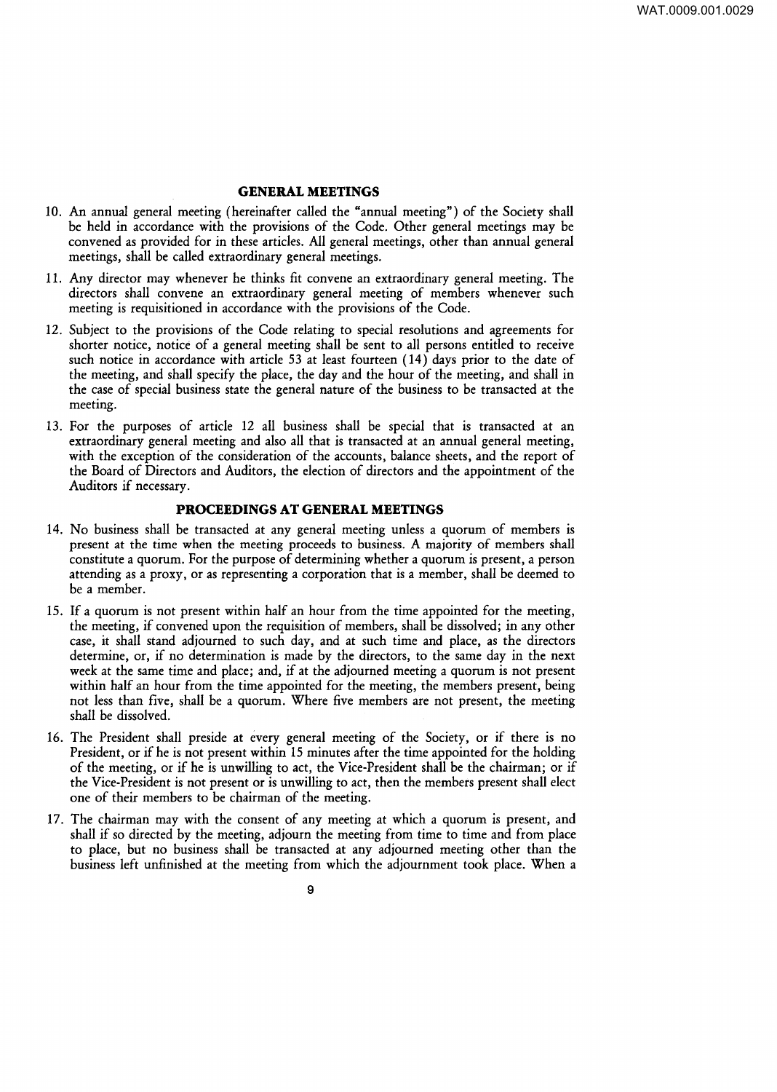#### **GENERAL MEETINGS**

- 10. An annual general meeting (hereinafter called the "annual meeting") of the Society shall be held in accordance with the provisions of the Code. Other general meetings may be convened as provided for in these articles. All general meetings, other than annual general meetings, shall be called extraordinary general meetings.
- 11. Any director may whenever he thinks fit convene an extraordinary general meeting. The directors shall convene an extraordinary general meeting of members whenever such meeting is requisitioned in accordance with the provisions of the Code.
- 12. Subject to the provisions of the Code relating to special resolutions and agreements for shorter notice, notice of a general meeting shall be sent to all persons entitled to receive such notice in accordance with article 53 at least fourteen  $(14)$  days prior to the date of the meeting, and shall specify the place, the day and the hour of the meeting, and shall in the case of special business state the general nature of the business to be transacted at the meeting.
- 13. For the purposes of article 12 all business shall be special that is transacted at an extraordinary general meeting and also all that is transacted at an annual general meeting, with the exception of the consideration of the accounts, balance sheets, and the report of the Board of Directors and Auditors, the election of directors and the appointment of the Auditors if necessary.

#### **PROCEEDINGS AT GENERAL MEETINGS**

- 14. No business shall be transacted at any general meeting unless a quorum of members is present at the time when the meeting proceeds to business. A majority of members shall constitute a quorum. For the purpose of determining whether a quorum is present, a person attending as a proxy, or as representing a corporation that is a member, shall be deemed to be a member.
- 15. If a quorum is not present within half an hour from the time appointed for the meeting, the meeting, if convened upon the requisition of members, shall be dissolved; in any other case, it shall stand adjourned to such day, and at such time and place, as the directors determine, or, if no determination is made by the directors, to the same day in the next week at the same time and place; and, if at the adjourned meeting a quorum is not present within half an hour from the time appointed for the meeting, the members present, being not less than five, shall be a quorum. Where five members are not present, the meeting shall be dissolved.
- 16. The President shall preside at every general meeting of the Society, or if there is no President, or if he is not present within 15 minutes after the time appointed for the holding of the meeting, or if he is unwilling to act, the Vice-President shall be the chairman; or if the Vice-President is not present or is unwilling to act, then the members present shall elect one of their members to be chairman of the meeting.
- 17. The chairman may with the consent of any meeting at which a quorum is present, and shall if so directed by the meeting, adjourn the meeting from time to time and from place to place, but no business shall be transacted at any adjourned meeting other than the business left unfinished at the meeting from which the adjournment took place. When a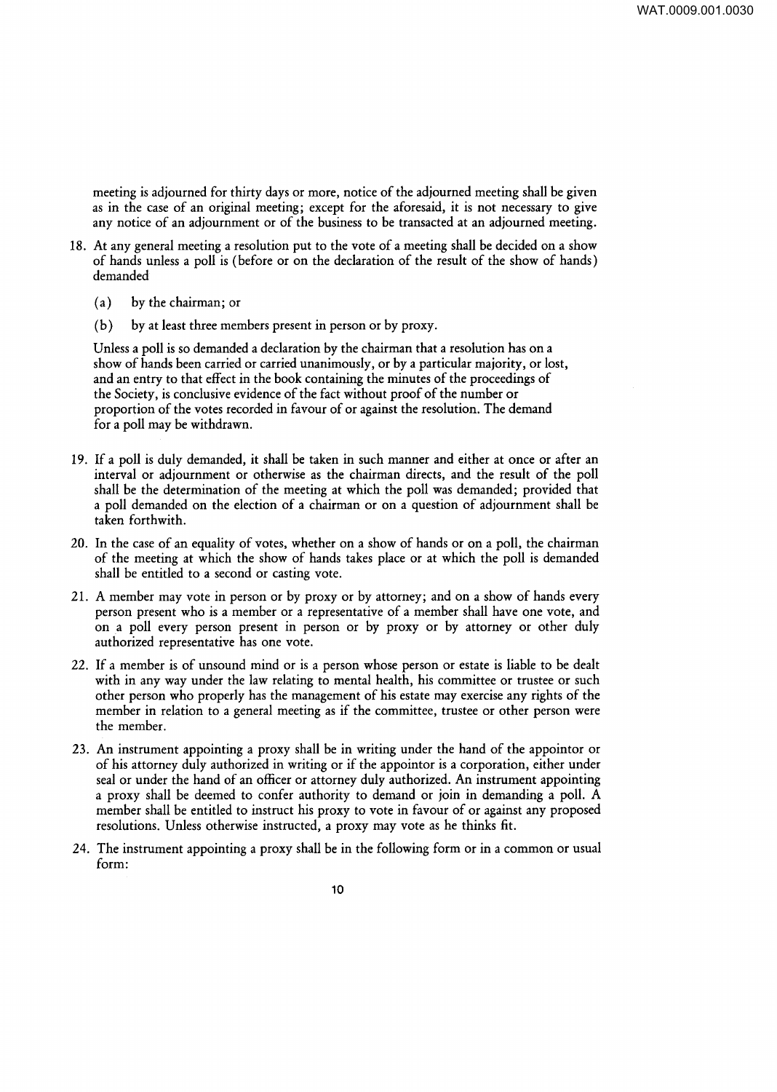meeting is adjourned for thirty days or more, notice of the adjourned meeting shall be given as in the case of an original meeting; except for the aforesaid, it is not necessary to give any notice of an adjournment or of the business to be transacted at an adjourned meeting.

- 18. At any general meeting a resolution put to the vote of a meeting shall be decided on a show of hands unless a poll is (before or on the declaration of the result of the show of hands) demanded
	- (a) by the chairman; or
	- (b) by at least three members present in person or by proxy.

Unless a poll is so demanded a declaration by the chairman that a resolution has on a show of hands been carried or carried unanimously, or by a particular majority, or lost, and an entry to that effect in the book containing the minutes of the proceedings of the Society, is conclusive evidence of the fact without proof of the number or proportion of the votes recorded in favour of or against the resolution. The demand for a poll may be withdrawn.

- 19. If a poll is duly demanded, it shall be taken in such manner and either at once or after an interval or adjournment or otherwise as the chairman directs, and the result of the poll shall be the determination of the meeting at which the poll was demanded; provided that a poll demanded on the election of a chairman or on a question of adjournment shall be taken forthwith.
- 20. In the case of an equality of votes, whether on a show of hands or on a poll, the chairman of the meeting at which the show of hands takes place or at which the poll is demanded shall be entitled to a second or casting vote.
- 21. A member may vote in person or by proxy or by attorney; and on a show of hands every person present who is a member or a representative of a member shall have one vote, and on a poll every person present in person or by proxy or by attorney or other duly authorized representative has one vote.
- 22. If a member is of unsound mind or is a person whose person or estate is liable to be dealt with in any way under the law relating to mental health, his committee or trustee or such other person who properly has the management of his estate may exercise any rights of the member in relation to a general meeting as if the committee, trustee or other person were the member.
- 23. An instrument appointing a proxy shall be in writing under the hand of the appointor or of his attorney duly authorized in writing or if the appointor is a corporation, either under seal or under the hand of an officer or attorney duly authorized. An instrument appointing a proxy shall be deemed to confer authority to demand or join in demanding a poll. A member shall be entitled to instruct his proxy to vote in favour of or against any proposed resolutions. Unless otherwise instructed, a proxy may vote as he thinks fit.
- 24. The instrument appointing a proxy shall be in the following form or in a common or usual form: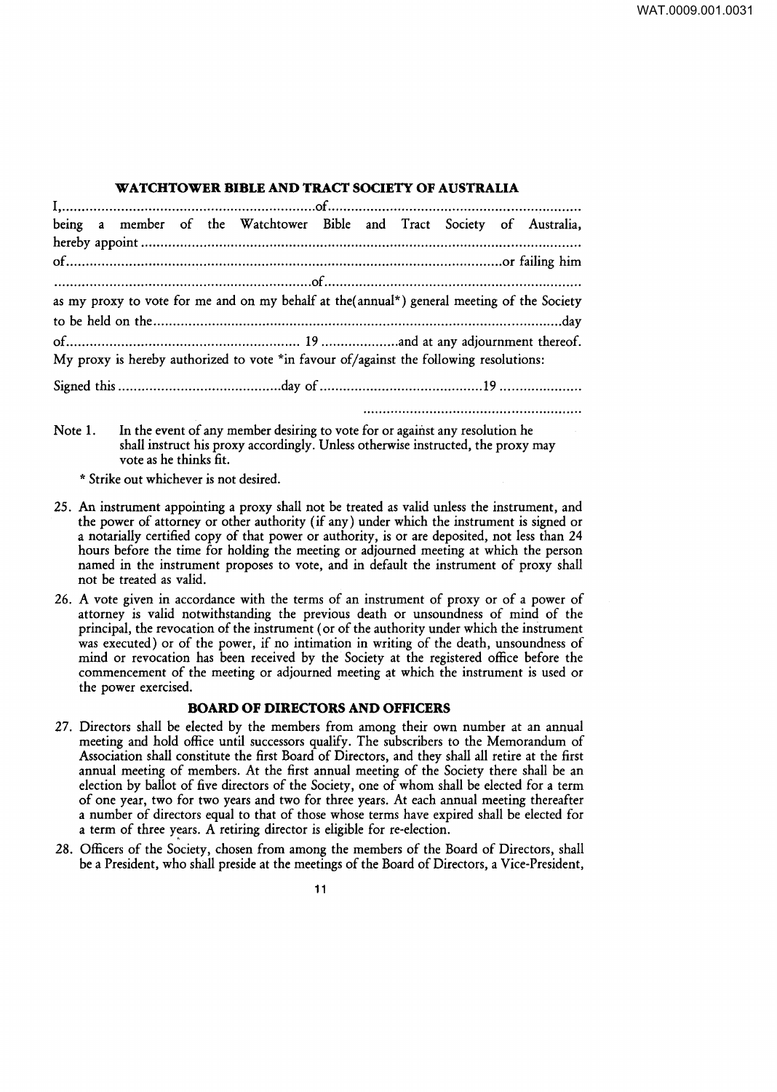### **WATCHTOWER BIBLE AND TRACT SOCIETY OF AUSTRALIA**

| being a member of the Watchtower Bible and Tract Society of Australia,                      |  |  |  |
|---------------------------------------------------------------------------------------------|--|--|--|
|                                                                                             |  |  |  |
|                                                                                             |  |  |  |
|                                                                                             |  |  |  |
| as my proxy to vote for me and on my behalf at the (annual*) general meeting of the Society |  |  |  |
|                                                                                             |  |  |  |
|                                                                                             |  |  |  |
| My proxy is hereby authorized to vote *in favour of/against the following resolutions:      |  |  |  |
|                                                                                             |  |  |  |
|                                                                                             |  |  |  |

Note 1. In the event of any member desiring to vote for or against any resolution he shall instruct his proxy accordingly. Unless otherwise instructed, the proxy may vote as he thinks fit.

\* Strike out whichever is not desired.

- 25. An instrument appointing a proxy shall not be treated as valid unless the instrument, and the power of attorney or other authority (if any) under which the instrument is signed or a notarially certified copy of that power or authority, is or are deposited, not less than 24 hours before the time for holding the meeting or adjourned meeting at which the person named in the instrument proposes to vote, and in default the instrument of proxy shall not be treated as valid.
- 26. A vote given in accordance with the terms of an instrument of proxy or of a power of attorney is valid notwithstanding the previous death or unsoundness of mind of the principal, the revocation of the instrument (or of the authority under which the instrument was executed) or of the power, if no intimation in writing of the death, unsoundness of mind or revocation has been received by the Society at the registered office before the commencement of the meeting or adjourned meeting at which the instrument is used or the power exercised.

# **BOARD OF DIRECTORS AND OFFICERS**

- 27. Directors shall be elected by the members from among their own number at an annual meeting and hold office until successors qualify. The subscribers to the Memorandum of Association shall constitute the first Board of Directors, and they shall all retire at the first annual meeting of members. At the first annual meeting of the Society there shall be an election by ballot of five directors of the Society, one of whom shall be elected for a term of one year, two for two years and two for three years. At each annual meeting thereafter a number of directors equal to that of those whose terms have expired shall be elected for a term of three years. A retiring director is eligible for re-election.
- 28. Officers of the Society, chosen from among the members of the Board of Directors, shall be a President, who shall preside at the meetings of the Board of Directors, a Vice-President,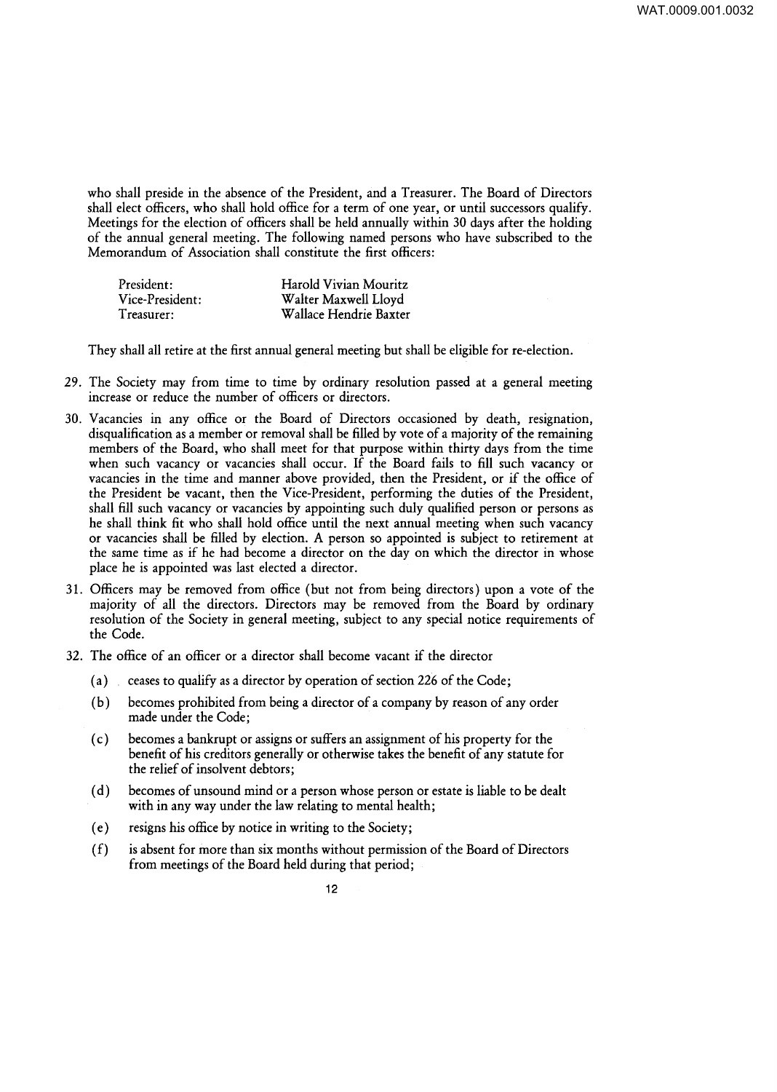who shall preside in the absence of the President, and a Treasurer. The Board of Directors shall elect officers, who shall hold office for a term of one year, or until successors qualify. Meetings for the election of officers shall be held annually within 30 days after the holding of the annual general meeting. The following named persons who have subscribed to the Memorandum of Association shall constitute the first officers:

| President:      | Harold Vivian Mouritz  |
|-----------------|------------------------|
| Vice-President: | Walter Maxwell Lloyd   |
| Treasurer:      | Wallace Hendrie Baxter |

They shall all retire at the first annual general meeting but shall be eligible for re-election.

- 29. The Society may from time to time by ordinary resolution passed at a general meeting increase or reduce the number of officers or directors.
- 30. Vacancies in any office or the Board of Directors occasioned by death, resignation, disqualification as a member or removal shall be filled by vote of a majority of the remaining members of the Board, who shall meet for that purpose within thirty days from the time when such vacancy or vacancies shall occur. If the Board fails to fill such vacancy or vacancies in the time and manner above provided, then the President, or if the office of the President be vacant, then the Vice-President, performing the duties of the President, shall fill such vacancy or vacancies by appointing such duly qualified person or persons as he shall think fit who shall hold office until the next annual meeting when such vacancy or vacancies shall be filled by election. A person so appointed is subject to retirement at the same time as if he had become a director on the day on which the director in whose place he is appointed was last elected a director.
- 31. Officers may be removed from office (but not from being directors) upon a vote of the majority of all the directors. Directors may be removed from the Board by ordinary resolution of the Society in general meeting, subject to any special notice requirements of the Code.
- 32. The office of an officer or a director shall become vacant if the director
	- (a) ceases to qualify as a director by operation of section 226 of the Code;
	- ( b) becomes prohibited from being a director of a company by reason of any order made under the Code;
	- ( c) becomes a bankrupt or assigns or suffers an assignment of his property for the benefit of his creditors generally or otherwise takes the benefit of any statute for the relief of insolvent debtors;
	- ( d) becomes of unsound mind or a person whose person or estate is liable to be dealt with in any way under the law relating to mental health;
	- ( e) resigns his office by notice in writing to the Society;
	- ( f) is absent for more than six months without permission of the Board of Directors from meetings of the Board held during that period;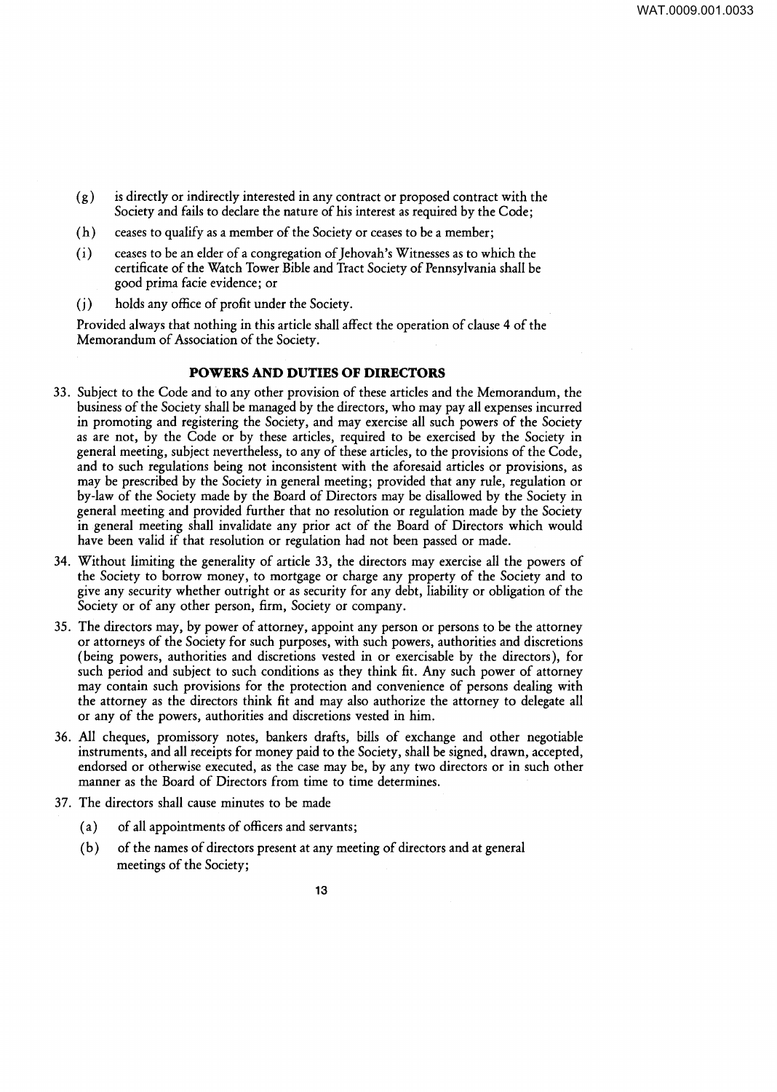- $(g)$  is directly or indirectly interested in any contract or proposed contract with the Society and fails to declare the nature of his interest as required by the Code;
- ( h) ceases to qualify as a member of the Society or ceases to be a member;
- ( i) ceases to be an elder of a congregation of Jehovah's Witnesses as to which the certificate of the Watch Tower Bible and Tract Society of Pennsylvania shall be good prima facie evidence; or
- ( j) holds any office of profit under the Society.

Provided always that nothing in this article shall affect the operation of clause 4 of the Memorandum of Association of the Society.

## **POWERS AND DUTIES OF DIRECTORS**

- 33. Subject to the Code and to any other provision of these articles and the Memorandum, the business of the Society shall be managed by the directors, who may pay all expenses incurred in promoting and registering the Society, and may exercise all such powers of the Society as are not, by the Code or by these articles, required to be exercised by the Society in general meeting, subject nevertheless, to any of these articles, to the provisions of the Code, and to such regulations being not inconsistent with the aforesaid articles or provisions, as may be prescribed by the Society in general meeting; provided that any rule, regulation or by-law of the Society made by the Board of Directors may be disallowed by the Society in general meeting and provided further that no resolution or regulation made by the Society in general meeting shall invalidate any prior act of the Board of Directors which would have been valid if that resolution or regulation had not been passed or made.
- 34. Without limiting the generality of article 33, the directors may exercise all the powers of the Society to borrow money, to mortgage or charge any property of the Society and to give any security whether outright or as security for any debt, liability or obligation of the Society or of any other person, firm, Society or company.
- 35. The directors may, by power of attorney, appoint any person or persons to be the attorney or attorneys of the Society for such purposes, with such powers, authorities and discretions (being powers, authorities and discretions vested in or exercisable by the directors), for such period and subject to such conditions as they think fit. Any such power of attorney may contain such provisions for the protection and convenience of persons dealing with the attorney as the directors think fit and may also authorize the attorney to delegate all or any of the powers, authorities and discretions vested in him.
- 36. All cheques, promissory notes, bankers drafts, bills of exchange and other negotiable instruments, and all receipts for money paid to the Society, shall be signed, drawn, accepted, endorsed or otherwise executed, as the case may be, by any two directors or in such other manner as the Board of Directors from time to time determines.
- 37. The directors shall cause minutes to be made
	- (a) of all appointments of officers and servants;
	- (b) of the names of directors present at any meeting of directors and at general meetings of the Society;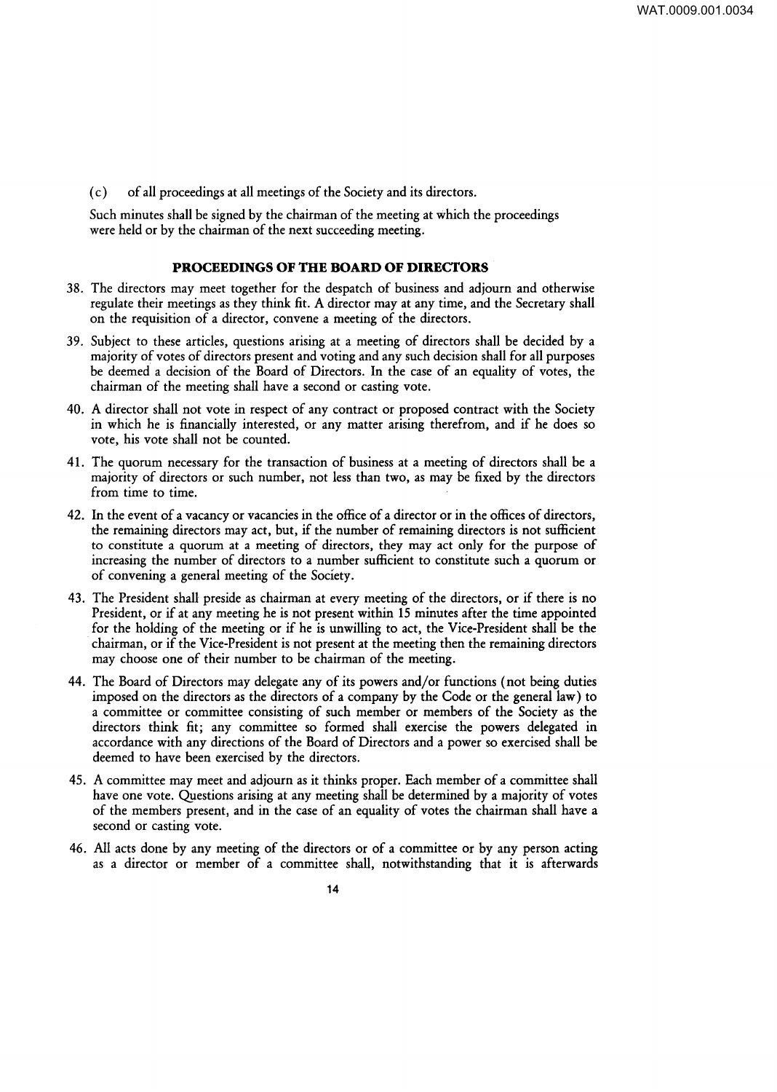( c) of all proceedings at all meetings of the Society and its directors.

Such minutes shall be signed by the chairman of the meeting at which the proceedings were held or by the chairman of the next succeeding meeting.

# **PROCEEDINGS OF THE BOARD OF DIRECTORS**

- 38. The directors may meet together for the despatch of business and adjourn and otherwise regulate their meetings as they think fit. A director may at any time, and the Secretary shall on the requisition of a director, convene a meeting of the directors.
- 39. Subject to these articles, questions arising at a meeting of directors shall be decided by a majority of votes of directors present and voting and any such decision shall for all purposes be deemed a decision of the Board of Directors. In the case of an equality of votes, the chairman of the meeting shall have a second or casting vote.
- 40. A director shall not vote in respect of any contract or proposed contract with the Society in which he is financially interested, or any matter arising therefrom, and if he does so vote, his vote shall not be counted.
- 41. The quorum necessary for the transaction of business at a meeting of directors shall be a majority of directors or such number, not less than two, as may be fixed by the directors from time to time.
- 42. In the event of a vacancy or vacancies in the office of a director or in the offices of directors, the remaining directors may act, but, if the number of remaining directors is not sufficient to constitute a quorum at a meeting of directors, they may act only for the purpose of increasing the number of directors to a number sufficient to constitute such a quorum or of convening a general meeting of the Society.
- 43. The President shall preside as chairman at every meeting of the directors, or if there is no President, or if at any meeting he is not present within 15 minutes after the time appointed for the holding of the meeting or if he is unwilling to act, the Vice-President shall be the chairman, or if the Vice-President is not present at the meeting then the remaining directors may choose one of their number to be chairman of the meeting.
- 44. The Board of Directors may delegate any of its powers and/or functions (not being duties imposed on the directors as the directors of a company by the Code or the general law) to a committee or committee consisting of such member or members of the Society as the directors think fit; any committee so formed shall exercise the powers delegated in accordance with any directions of the Board of Directors and a power so exercised shall be deemed to have been exercised by the directors.
- 45. A committee may meet and adjourn as it thinks proper. Each member of a committee shall have one vote. Questions arising at any meeting shall be determined by a majority of votes of the members present, and in the case of an equality of votes the chairman shall have a second or casting vote.
- 46. All acts done by any meeting of the directors or of a committee or by any person acting as a director or member of a committee shall, notwithstanding that it is afterwards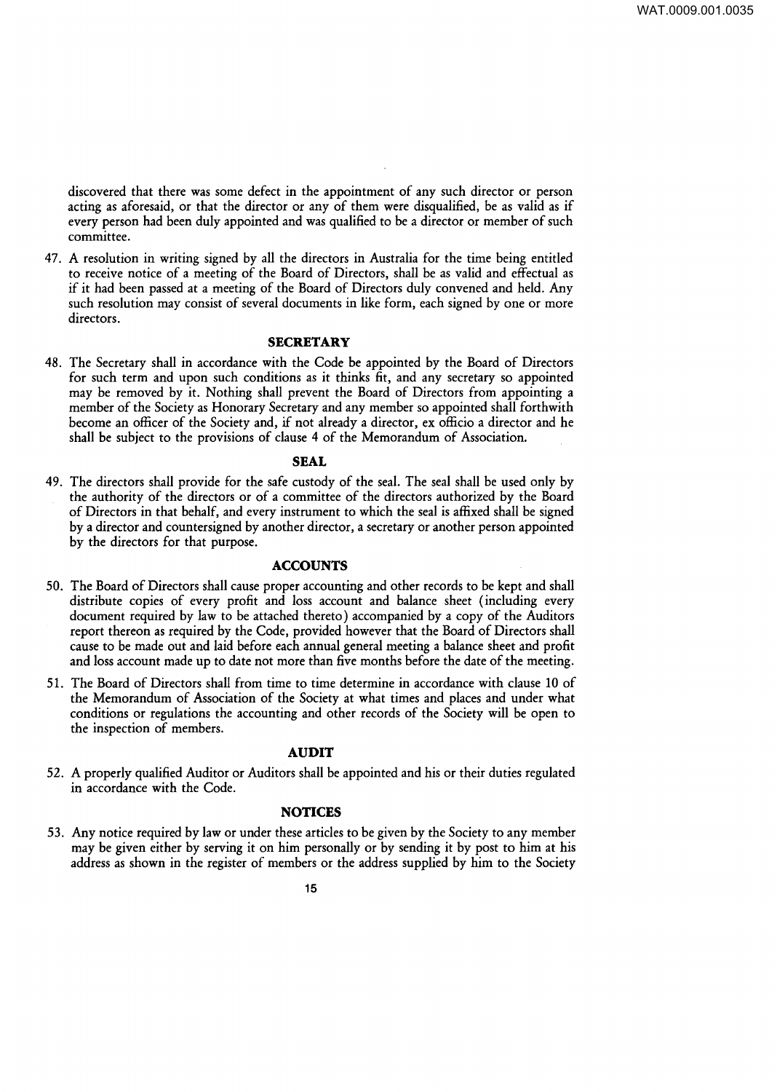discovered that there was some defect in the appointment of any such director or person acting as aforesaid, or that the director or any of them were disqualified, be as valid as if every person had been duly appointed and was qualified to be a director or member of such committee.

47. A resolution in writing signed by all the directors in Australia for the time being entitled to receive notice of a meeting of the Board of Directors, shall be as valid and effectual as if it had been passed at a meeting of the Board of Directors duly convened and held. Any such resolution may consist of several documents in like form, each signed by one or more directors.

#### **SECRETARY**

48. The Secretary shall in accordance with the Code be appointed by the Board of Directors for such term and upon such conditions as it thinks fit, and any secretary so appointed may be removed by it. Nothing shall prevent the Board of Directors from appointing a member of the Society as Honorary Secretary and any member so appointed shall forthwith become an officer of the Society and, if not already a director, ex officio a director and he shall be subject to the provisions of clause 4 of the Memorandum of Association.

### **SEAL**

49. The directors shall provide for the safe custody of the seal. The seal shall be used only by the authority of the directors or of a committee of the directors authorized by the Board of Directors in that behalf, and every instrument to which the seal is affixed shall be signed by a director and countersigned by another director, a secretary or another person appointed by the directors for that purpose.

## **ACCOUNTS**

- SO. The Board of Directors shall cause proper accounting and other records to be kept and shall distribute copies of every profit and loss account and balance sheet (including every document required by law to be attached thereto) accompanied by a copy of the Auditors report thereon as required by the Code, provided however that the Board of Directors shall cause to be made out and laid before each annual general meeting a balance sheet and profit and loss account made up to date not more than five months before the date of the meeting.
- 51. The Board of Directors shall from time to time determine in accordance with clause 10 of the Memorandum of Association of the Society at what times and places and under what conditions or regulations the accounting and other records of the Society will be open to the inspection of members.

### **AUDIT**

52. A properly qualified Auditor or Auditors shall be appointed and his or their duties regulated in accordance with the Code.

### **NOTICES**

53. Any notice required by law or under these articles to be given by the Society to any member may be given either by serving it on him personally or by sending it by post to him at his address as shown in the register of members or the address supplied by him to the Society